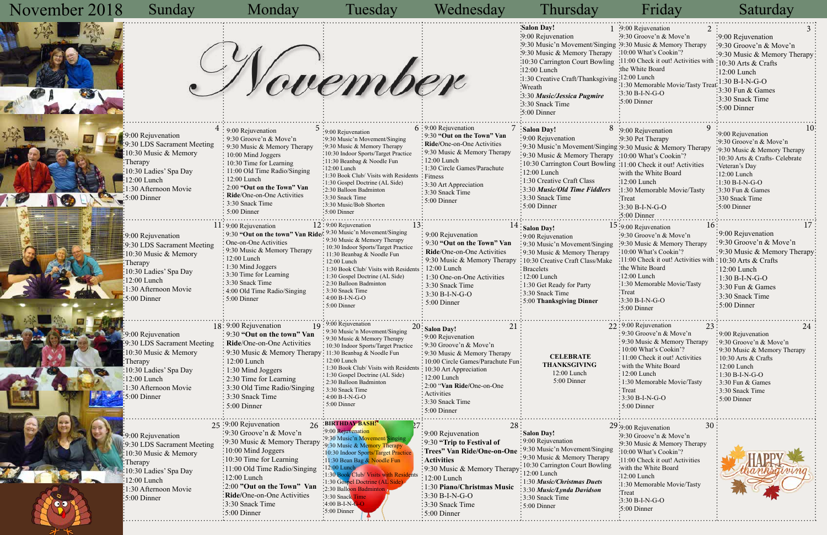$\frac{1}{x^{2}+x^{2}}$ 

| November 2018 | Sunday                                                                                                                                                                                                    | Monday                                                                                                                                                                                                                                                                                                                                                                 | Tuesday                                                                                                                                                                                                                                                                                                                                                                      | Wednesday                                                                                                                                                                                                                                                                               | Thursday                                                                                                                                                                                                                                                                                                                                                             | Friday                                                                                                                                                                                                                                                                                                          | Saturday                                                                                                                                                                                                                                       |
|---------------|-----------------------------------------------------------------------------------------------------------------------------------------------------------------------------------------------------------|------------------------------------------------------------------------------------------------------------------------------------------------------------------------------------------------------------------------------------------------------------------------------------------------------------------------------------------------------------------------|------------------------------------------------------------------------------------------------------------------------------------------------------------------------------------------------------------------------------------------------------------------------------------------------------------------------------------------------------------------------------|-----------------------------------------------------------------------------------------------------------------------------------------------------------------------------------------------------------------------------------------------------------------------------------------|----------------------------------------------------------------------------------------------------------------------------------------------------------------------------------------------------------------------------------------------------------------------------------------------------------------------------------------------------------------------|-----------------------------------------------------------------------------------------------------------------------------------------------------------------------------------------------------------------------------------------------------------------------------------------------------------------|------------------------------------------------------------------------------------------------------------------------------------------------------------------------------------------------------------------------------------------------|
|               |                                                                                                                                                                                                           |                                                                                                                                                                                                                                                                                                                                                                        | Vovember                                                                                                                                                                                                                                                                                                                                                                     |                                                                                                                                                                                                                                                                                         | <b>Salon Day!</b><br>:9:00 Rejuvenation<br>:9:30 Music'n Movement/Singing :9:30 Music & Memory Therapy<br>:9:30 Music & Memory Therapy<br>:10:30 Carrington Court Bowling :11:00 Check it out! Activities wit<br>$:12:00$ Lunch<br>:1:30 Creative Craft/Thanksgiving :12:00 Lunch<br>:Wreath<br>3:30 Music/Jessica Pugmire<br>3:30 Snack Time<br>$\cdot 5:00$ Dinner | 1 :9:00 Rejuvenation<br>9:30 Groove'n & Move'n<br>:10:00 What's Cookin'?<br>the White Board<br>:1:30 Memorable Movie/Tasty Tre<br>$\frac{1}{2}$ :30 B-I-N-G-O<br>$\cdot 5:00$ Dinner                                                                                                                            | :9:00 Rejuvenation<br>:9:30 Groove'n & Move'n<br>:9:30 Music & Memory Therapy<br>$\frac{10:30 \text{ Arts}}{8}$ Crafts<br>$\frac{1}{2}12:00$ Lunch<br>$:1:30 B-I-N-G-O$<br>$3:30$ Fun & Games<br>3:30 Snack Time<br>$\frac{1}{2}$ 5:00 Dinner  |
|               | :9:00 Rejuvenation<br>:9:30 LDS Sacrament Meeting<br>10:30 Music & Memory<br>Therapy<br>10:30 Ladies' Spa Day<br>12:00 Lunch<br>1:30 Afternoon Movie<br>$\cdot 5:00$ Dinner                               | : 9:00 Rejuvenation<br>: 9:30 Groove'n & Move'n<br>$\frac{1}{2}$ 9:30 Music & Memory Therapy<br>$\div 10:00$ Mind Joggers<br>$: 10:30$ Time for Learning<br>: 11:00 Old Time Radio/Singing<br>$\frac{1}{2}$ 12:00 Lunch<br>$\frac{1}{2}$ 2:00 "Out on the Town" Van<br>Ride/One-on-One Activities<br>: 3:30 Snack Time<br>$\frac{1}{2}$ 5:00 Dinner                    | :9:00 Rejuvenation<br>:9:30 Music'n Movement/Singing<br>:9:30 Music & Memory Therapy<br>:10:30 Indoor Sports/Target Practice<br>:11:30 Beanbag & Noodle Fun<br>:12:00 Lunch<br>:1:30 Book Club/ Visits with Residents<br>:1:30 Gospel Doctrine (AL Side)<br>$\cdot$ 2:30 Balloon Badminton<br>:3:30 Snack Time<br>:3:30 Music/Bob Shorten<br>$:5:00$ Dinner                  | $6:9:00$ Rejuvenation<br>: 9:30 "Out on the Town" Van<br>: Ride/One-on-One Activities<br>: 9:30 Music & Memory Therapy<br>$\frac{1}{2}$ 12:00 Lunch<br>: 1:30 Circle Games/Parachute<br>: Fitness<br>: 3:30 Art Appreciation<br>$\frac{1}{2}$ 3:30 Snack Time<br>$\div$ 5:00 Dinner     | $\sqrt{ }$ : Salon Day!<br>:9:00 Rejuvenation<br>:9:30 Music'n Movement/Singing :9:30 Music & Memory Therapy<br>:9:30 Music & Memory Therapy :10:00 What's Cookin'?<br>10:30 Carrington Court Bowling :11:00 Check it out! Activities<br>$\div 12:00$ Lunch<br>:1:30 Creative Craft Class<br>:3:30 Music/Old Time Fiddlers<br>:3:30 Snack Time<br>$:5:00$ Dinner     | $8$ :9:00 Rejuvenation<br>:9:30 Pet Therapy<br>with the White Board<br>$\frac{1}{2}$ :00 Lunch<br>:1:30 Memorable Movie/Tasty<br>Treat <sup>:</sup><br>$-3:30 B-I-N-G-O$<br>:5:00 Dinner                                                                                                                        | :9:00 Rejuvenation<br>:9:30 Groove'n & Move'n<br>:9:30 Music & Memory Therapy<br>:10:30 Arts & Crafts- Celebrate<br>Veteran's Day<br>:12:00 Lunch<br>$:1:30 B-I-N-G-O$<br>$\frac{1}{2}$ 3:30 Fun & Games<br>:330 Snack Time<br>:5:00 Dinner    |
|               | :9:00 Rejuvenation<br>9:30 LDS Sacrament Meeting<br>$\frac{10:30 \text{ Music} \& \text{Memory}}$<br>Therapy<br>10:30 Ladies' Spa Day<br>12:00 Lunch<br>1:30 Afternoon Movie<br>$\frac{1}{2}$ 5:00 Dinner | $11:9:00$ Rejuvenation<br>: 9:30 "Out on the town" Van Ride/. 9:30 Music'n Movement/Singing<br>: One-on-One Activities<br>: 9:30 Music & Memory Therapy<br>$\frac{1}{2}$ 12:00 Lunch<br>$\div 1:30$ Mind Joggers<br>: 3:30 Time for Learning<br>: 3:30 Snack Time<br>$\frac{1}{2}$ 4:00 Old Time Radio/Singing<br>$\div$ 5:00 Dinner                                   | $12:9:00$ Rejuvenation<br>: 9:30 Music & Memory Therapy<br>: 10:30 Indoor Sports/Target Practice<br>: 11:30 Beanbag & Noodle Fun<br>: 12:00 Lunch<br>: 1:30 Book Club/ Visits with Residents: 12:00 Lunch<br>: 1:30 Gospel Doctrine (AL Side)<br>: 2:30 Balloon Badminton<br>$\frac{1}{2}$ 3:30 Snack Time<br>$:4:00 B-I-N-G-O$<br>$: 5:00$ Dinner                           | : 9:00 Rejuvenation<br>: 9:30 "Out on the Town" Van<br>: Ride/One-on-One Activities<br>: 9:30 Music & Memory Therapy<br>$\frac{1}{2}$ 1:30 One-on-One Activities<br>$\frac{1}{2}$ 3:30 Snack Time<br>$: 3:30 B-I-N-G-O$<br>$\div$ 5:00 Dinner                                           | Salon Day!<br>: 9:00 Rejuvenation<br>:9:30 Music'n Movement/Singing<br>$\cdot$ 9:30 Music & Memory Therapy<br>: 10:30 Creative Craft Class/Make<br>: Bracelets<br>:12:00 Lunch<br>$: 1:30$ Get Ready for Party<br>$\frac{1}{2}$ 3:30 Snack Time<br>: 5:00 Thanksgiving Dinner                                                                                        | $15:9:00$ Rejuvenation<br>10:<br>:9:30 Groove'n & Move'n<br>:9:30 Music & Memory Therapy<br>:10:00 What's Cookin'?<br>:11:00 Check it out! Activities with : 10:30 Arts & Crafts<br>:the White Board<br>$:12:00$ Lunch<br>:1:30 Memorable Movie/Tasty<br>:Treat<br>:3:30 B-I-N-G-O<br>$\frac{1}{2}$ 5:00 Dinner | :9:00 Rejuvenation<br>:9:30 Groove'n & Move'n<br>:9:30 Music & Memory Therapy<br>$\frac{1}{2}12:00$ Lunch<br>$\div 1:30 B-I-N-G-O$<br>$\frac{1}{2}$ :30 Fun & Games<br>:3:30 Snack Time<br>$\frac{1}{2}$ 5:00 Dinner                           |
|               | $: 9:00$ Rejuvenation<br>:9:30 LDS Sacrament Meeting<br>10:30 Music & Memory<br>Therapy<br>:10:30 Ladies' Spa Day<br>12:00 Lunch<br>1:30 Afternoon Movie<br>5:00 Dinner                                   | $18:9:00$ Rejuvenation<br>: 9:30 "Out on the town" Van<br>: Ride/One-on-One Activities<br>: 9:30 Music & Memory Therapy: 11:30 Beanbag & Noodle Fun<br>$\frac{1}{2}$ 12:00 Lunch<br>$\frac{1}{2}$ 1:30 Mind Joggers<br>$\frac{1}{2}$ 2:30 Time for Learning<br>$\frac{1}{2}$ 3:30 Old Time Radio/Singing<br>$\frac{1}{2}$ 3:30 Snack Time<br>$\frac{1}{2}$ 5:00 Dinner | 19:00 Rejuvenation<br>: 9:30 Music'n Movement/Singing<br>: 9:30 Music & Memory Therapy<br>: 10:30 Indoor Sports/Target Practice<br>$: 12:00$ Lunch<br>$\frac{1}{2}$ 1:30 Book Club/Visits with Residents : 10:30 Art Appreciation<br>: 1:30 Gospel Doctrine (AL Side)<br>: 2:30 Balloon Badminton<br>: 3:30 Snack Time<br>$: 4:00 B-I-N-G-O$<br>$: 5:00$ Dinner              | <b>Salon Day!</b><br>: 9:00 Rejuvenation<br>$\frac{1}{2}$ 9:30 Groove'n & Move'n<br>$\frac{1}{2}$ 9:30 Music & Memory Therapy<br>: 10:00 Circle Games/Parachute Fun<br>$: 12:00$ Lunch<br>$\frac{1}{2}$ 2:00 "Van Ride/One-on-One<br>: Activities<br>: 3:30 Snack Time<br>: 5:00 Dinner | <b>CELEBRATE</b><br><b>THANKSGIVING</b><br>12:00 Lunch<br>5:00 Dinner                                                                                                                                                                                                                                                                                                | $22:9:00$ Rejuvenation<br>:9:30 Groove'n & Move'n<br>: 9:30 Music & Memory Therapy<br>$: 10:00$ What's Cookin'?<br>$\frac{1}{2}$ 11:00 Check it out! Activities<br>: with the White Board<br>:12:00 Lunch<br>: 1:30 Memorable Movie/Tasty<br>$\cdot$ Treat<br>$:3:30 B-I-N-G-O$<br>:5:00 Dinner                 | : 9:00 Rejuvenation<br>:9:30 Groove'n & Move'n<br>:9:30 Music & Memory Therapy<br>$: 10:30$ Arts & Crafts<br>$\frac{1}{2}$ 12:00 Lunch<br>$:1:30 B-I-N-G-O$<br>:3:30 Fun & Games<br>$\frac{1}{2}$ 3:30 Snack Time<br>$\frac{1}{2}$ 5:00 Dinner |
| $\bullet$     | 9:00 Rejuvenation<br>:9:30 LDS Sacrament Meeting<br>10:30 Music & Memory<br>Therapy<br>10:30 Ladies' Spa Day<br>12:00 Lunch<br>1:30 Afternoon Movie<br>$:5:00$ Dinner                                     | 25:9:00 Rejuvenation<br>:9:30 Groove'n & Move'n<br>:9:30 Music & Memory Therapy<br>:10:00 Mind Joggers<br>:10:30 Time for Learning<br>:11:00 Old Time Radio/Singing<br>:12:00 Lunch<br>:2:00 "Out on the Town" Van<br>:Ride/One-on-One Activities<br>:3:30 Snack Time<br>:5:00 Dinner                                                                                  | 26 :BIRTHDAY BASH.<br>.9:00 Rejuvenation<br>:9:30 Music'n Movement/Singin<br>9:30 Music & Memory Therapy<br>:10:30 Indoor Sports/Target Practic<br>:11:30 Bean Bag & Noodle Fun<br>12:00 Lunch<br>:1:30 Book Club/ Visits with Residents<br>:1:30 Gospel Doctrine (AL Side<br>:2:30 Balloon Badminton<br>$\frac{1}{2}$ 3:30 Snack Time<br>$:4:00 B-I-N-G-$<br>$:5:00$ Dinner | 28:<br>:9:00 Rejuvenation<br>:9:30 "Trip to Festival of<br>: Trees" Van Ride/One-on-One<br>: Activities<br>:9:30 Music & Memory Therapy:<br>:12:00 Lunch<br>:1:30 Piano/Christmas Music<br>$:3:30 B-I-N-G-O$<br>:3:30 Snack Time<br>$:5:00$ Dinner                                      | : Salon Day!<br>: 9:00 Rejuvenation<br>:9:30 Music'n Movement/Singing<br>:9:30 Music & Memory Therapy<br>: 10:30 Carrington Court Bowling<br>12:00 Lunch<br>$\frac{1}{2}$ 1:30 <i>Music/Christmas Duets</i><br>:3:30 Music/Lynda Davidson<br>:3:30 Snack Time<br>$: 5:00$ Dinner                                                                                     | 30<br>$29:9:00$ Rejuvenation<br>:9:30 Groove'n & Move'n<br>:9:30 Music & Memory Therapy<br>:10:00 What's Cookin'?<br>:11:00 Check it out! Activities<br>:with the White Board<br>$:12:00$ Lunch<br>:1:30 Memorable Movie/Tasty<br>:Treat<br>$:3:30 B-I-N-G-O$<br>$:5:00$ Dinner                                 |                                                                                                                                                                                                                                                |

|    | <b>TIAN</b>                                      | Daiaraa y                                             |  |
|----|--------------------------------------------------|-------------------------------------------------------|--|
|    | 1 :9:00 Rejuvenation<br>2                        | 3                                                     |  |
|    | $-9:30$ Groove'n & Move'n                        | :9:00 Rejuvenation                                    |  |
|    | ing '9:30 Music & Memory Therapy                 | 9:30 Groove'n & Move'n                                |  |
| 2y | :10:00 What's Cookin'?                           | :9:30 Music & Memory Therapy                          |  |
| ng | :11:00 Check it out! Activities with             | 10:30 Arts & Crafts                                   |  |
|    | the White Board                                  | 12:00 Lunch                                           |  |
|    | $\gamma$ ing:12:00 Lunch                         | $1:30 B-I-N-G-O$                                      |  |
|    | :1:30 Memorable Movie/Tasty Treat                | 3:30 Fun & Games                                      |  |
|    | $\cdot$ 3:30 B-I-N-G-O                           |                                                       |  |
|    | 5:00 Dinner                                      | 3:30 Snack Time                                       |  |
|    |                                                  | 5:00 Dinner                                           |  |
|    |                                                  |                                                       |  |
|    | 9<br>$8:9:00$ Rejuvenation                       | 10:                                                   |  |
|    | :9:30 Pet Therapy                                | 9:00 Rejuvenation                                     |  |
|    | ging:9:30 Music & Memory Therapy                 | 9:30 Groove'n & Move'n<br>9:30 Music & Memory Therapy |  |
|    | py :10:00 What's Cookin'?                        | 10:30 Arts & Crafts- Celebrate                        |  |
|    | ing:11:00 Check it out! Activities               | Veteran's Day                                         |  |
|    | with the White Board:                            | 12:00 Lunch                                           |  |
|    | $:12:00$ Lunch                                   | $1:30 B-I-N-G-O$                                      |  |
| "S | :1:30 Memorable Movie/Tasty                      | 3:30 Fun & Games                                      |  |
|    | Treat <sup>:</sup>                               | 330 Snack Time                                        |  |
|    | $3:30 B-I-N-G-O$                                 | 5:00 Dinner                                           |  |
|    | :5:00 Dinner                                     |                                                       |  |
|    | 16<br>15:9:00 Rejuvenation                       | 17                                                    |  |
|    | :9:30 Groove'n & Move'n                          | 9:00 Rejuvenation                                     |  |
| ng | :9:30 Music & Memory Therapy                     | 9:30 Groove'n & Move'n                                |  |
| y  | 10:00 What's Cookin'?                            | 9:30 Music & Memory Therapy?                          |  |
| ke | 11:00 Check it out! Activities with              | 10:30 Arts $&$ Crafts                                 |  |
|    | the White Board:                                 | 12:00 Lunch                                           |  |
|    | :12:00 Lunch                                     | 1:30 B-I-N-G-O                                        |  |
|    | 1:30 Memorable Movie/Tasty                       | 3:30 Fun & Games                                      |  |
|    | :Treat                                           | 3:30 Snack Time                                       |  |
|    | $3:30 B-I-N-G-O$                                 | 5:00 Dinner                                           |  |
|    | 5:00 Dinner                                      |                                                       |  |
|    | $22:9:00$ Rejuvenation<br>23                     | 24                                                    |  |
|    | 9:30 Groove'n & Move'n                           | 9:00 Rejuvenation                                     |  |
|    | 9:30 Music & Memory Therapy                      | 9:30 Groove'n & Move'n                                |  |
|    | 10:00 What's Cookin'?                            | 9:30 Music & Memory Therapy                           |  |
|    | 11:00 Check it out! Activities                   | 10:30 Arts & Crafts                                   |  |
|    | with the White Board                             | 12:00 Lunch                                           |  |
|    | 12:00 Lunch                                      | $1:30 B-I-N-G-O$                                      |  |
|    | 1:30 Memorable Movie/Tasty                       | 3:30 Fun & Games                                      |  |
|    | Treat                                            | 3:30 Snack Time                                       |  |
|    | 3:30 B-I-N-G-O                                   | 5:00 Dinner                                           |  |
|    | 5:00 Dinner                                      |                                                       |  |
|    |                                                  |                                                       |  |
|    | 30<br>29:9:00 Rejuvenation                       |                                                       |  |
|    | :9:30 Groove'n & Move'n                          |                                                       |  |
|    | :9:30 Music & Memory Therapy                     |                                                       |  |
| ng | 10:00 What's Cookin'?                            |                                                       |  |
| y  | 11:00 Check it out! Activities                   |                                                       |  |
| ıg | with the White Board:                            |                                                       |  |
|    | $:12:00$ Lunch                                   |                                                       |  |
|    | 1:30 Memorable Movie/Tasty<br>Treat <sup>:</sup> |                                                       |  |
|    | $3:30 B-I-N-G-O$                                 |                                                       |  |
|    | $:5:00$ Dinner                                   |                                                       |  |
|    |                                                  |                                                       |  |
|    |                                                  |                                                       |  |